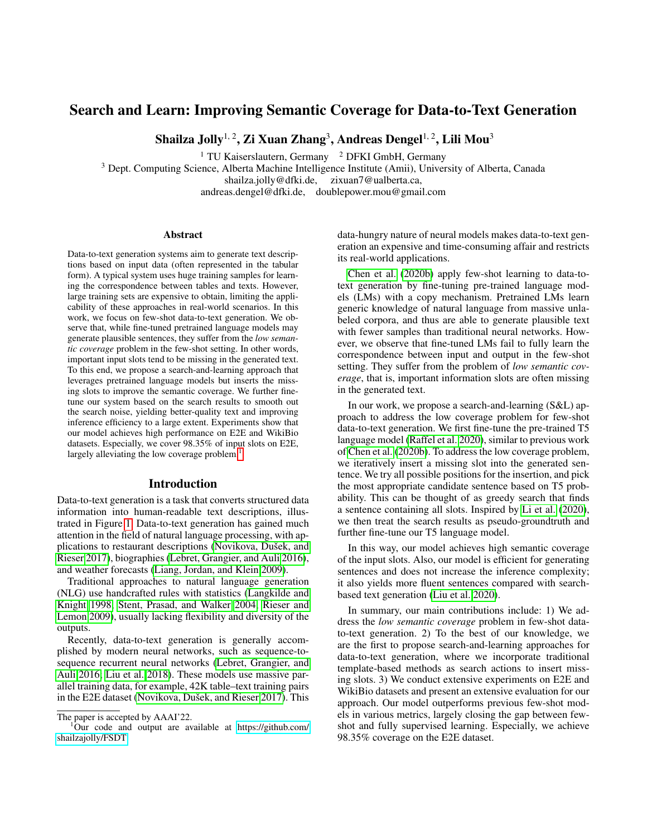# Search and Learn: Improving Semantic Coverage for Data-to-Text Generation

Shailza Jolly $^{1,\,2}$ , Zi Xuan Zhang $^3$ , Andreas Dengel $^{1,\,2}$ , Lili Mou $^3$ 

<sup>1</sup> TU Kaiserslautern, Germany <sup>2</sup> DFKI GmbH, Germany

<sup>3</sup> Dept. Computing Science, Alberta Machine Intelligence Institute (Amii), University of Alberta, Canada

shailza.jolly@dfki.de, zixuan7@ualberta.ca,

andreas.dengel@dfki.de, doublepower.mou@gmail.com

#### Abstract

Data-to-text generation systems aim to generate text descriptions based on input data (often represented in the tabular form). A typical system uses huge training samples for learning the correspondence between tables and texts. However, large training sets are expensive to obtain, limiting the applicability of these approaches in real-world scenarios. In this work, we focus on few-shot data-to-text generation. We observe that, while fine-tuned pretrained language models may generate plausible sentences, they suffer from the *low semantic coverage* problem in the few-shot setting. In other words, important input slots tend to be missing in the generated text. To this end, we propose a search-and-learning approach that leverages pretrained language models but inserts the missing slots to improve the semantic coverage. We further finetune our system based on the search results to smooth out the search noise, yielding better-quality text and improving inference efficiency to a large extent. Experiments show that our model achieves high performance on E2E and WikiBio datasets. Especially, we cover 98.35% of input slots on E2E, largely alleviating the low coverage problem.<sup>[1](#page-0-0)</sup>

#### Introduction

Data-to-text generation is a task that converts structured data information into human-readable text descriptions, illustrated in Figure [1.](#page-1-0) Data-to-text generation has gained much attention in the field of natural language processing, with applications to restaurant descriptions (Novikova, Dušek, and [Rieser 2017\)](#page-7-0), biographies [\(Lebret, Grangier, and Auli 2016\)](#page-7-1), and weather forecasts [\(Liang, Jordan, and Klein 2009\)](#page-7-2).

Traditional approaches to natural language generation (NLG) use handcrafted rules with statistics [\(Langkilde and](#page-7-3) [Knight 1998;](#page-7-3) [Stent, Prasad, and Walker 2004;](#page-8-0) [Rieser and](#page-8-1) [Lemon 2009\)](#page-8-1), usually lacking flexibility and diversity of the outputs.

Recently, data-to-text generation is generally accomplished by modern neural networks, such as sequence-tosequence recurrent neural networks [\(Lebret, Grangier, and](#page-7-1) [Auli 2016;](#page-7-1) [Liu et al. 2018\)](#page-7-4). These models use massive parallel training data, for example, 42K table–text training pairs in the E2E dataset (Novikova, Dušek, and Rieser 2017). This data-hungry nature of neural models makes data-to-text generation an expensive and time-consuming affair and restricts its real-world applications.

[Chen et al.](#page-7-5) [\(2020b\)](#page-7-5) apply few-shot learning to data-totext generation by fine-tuning pre-trained language models (LMs) with a copy mechanism. Pretrained LMs learn generic knowledge of natural language from massive unlabeled corpora, and thus are able to generate plausible text with fewer samples than traditional neural networks. However, we observe that fine-tuned LMs fail to fully learn the correspondence between input and output in the few-shot setting. They suffer from the problem of *low semantic coverage*, that is, important information slots are often missing in the generated text.

In our work, we propose a search-and-learning (S&L) approach to address the low coverage problem for few-shot data-to-text generation. We first fine-tune the pre-trained T5 language model [\(Raffel et al. 2020\)](#page-8-2), similar to previous work of [Chen et al.](#page-7-5) [\(2020b\)](#page-7-5). To address the low coverage problem, we iteratively insert a missing slot into the generated sentence. We try all possible positions for the insertion, and pick the most appropriate candidate sentence based on T5 probability. This can be thought of as greedy search that finds a sentence containing all slots. Inspired by [Li et al.](#page-7-6) [\(2020\)](#page-7-6), we then treat the search results as pseudo-groundtruth and further fine-tune our T5 language model.

In this way, our model achieves high semantic coverage of the input slots. Also, our model is efficient for generating sentences and does not increase the inference complexity; it also yields more fluent sentences compared with searchbased text generation [\(Liu et al. 2020\)](#page-7-7).

In summary, our main contributions include: 1) We address the *low semantic coverage* problem in few-shot datato-text generation. 2) To the best of our knowledge, we are the first to propose search-and-learning approaches for data-to-text generation, where we incorporate traditional template-based methods as search actions to insert missing slots. 3) We conduct extensive experiments on E2E and WikiBio datasets and present an extensive evaluation for our approach. Our model outperforms previous few-shot models in various metrics, largely closing the gap between fewshot and fully supervised learning. Especially, we achieve 98.35% coverage on the E2E dataset.

The paper is accepted by AAAI'22.

<span id="page-0-0"></span> $1$ Our code and output are available at [https://github.com/](https://github.com/shailzajolly/FSDT) [shailzajolly/FSDT](https://github.com/shailzajolly/FSDT)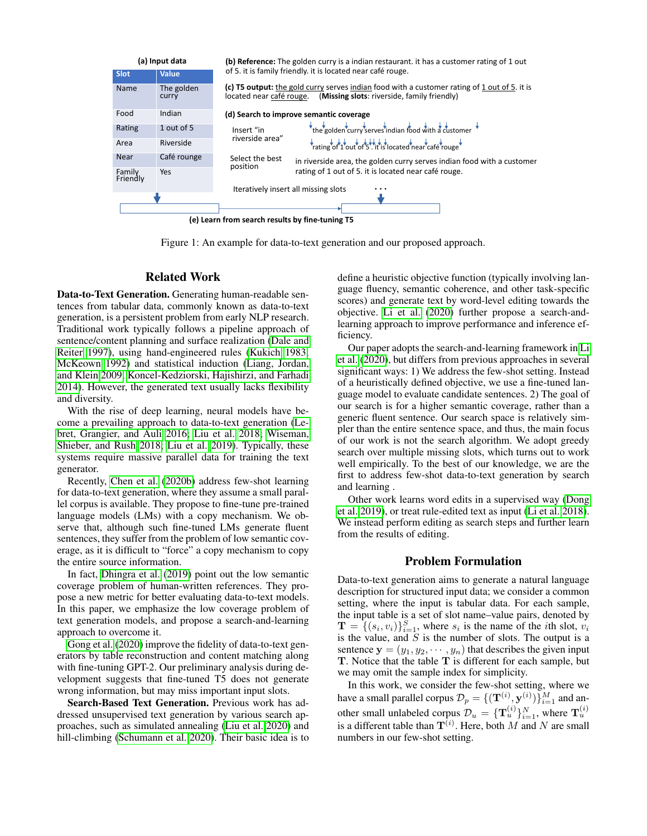<span id="page-1-0"></span>

Figure 1: An example for data-to-text generation and our proposed approach.

### Related Work

Data-to-Text Generation. Generating human-readable sentences from tabular data, commonly known as data-to-text generation, is a persistent problem from early NLP research. Traditional work typically follows a pipeline approach of sentence/content planning and surface realization [\(Dale and](#page-7-8) [Reiter 1997\)](#page-7-8), using hand-engineered rules [\(Kukich 1983;](#page-7-9) [McKeown 1992\)](#page-7-10) and statistical induction [\(Liang, Jordan,](#page-7-2) [and Klein 2009;](#page-7-2) [Koncel-Kedziorski, Hajishirzi, and Farhadi](#page-7-11) [2014\)](#page-7-11). However, the generated text usually lacks flexibility and diversity.

With the rise of deep learning, neural models have become a prevailing approach to data-to-text generation [\(Le](#page-7-1)[bret, Grangier, and Auli 2016;](#page-7-1) [Liu et al. 2018;](#page-7-4) [Wiseman,](#page-8-3) [Shieber, and Rush 2018;](#page-8-3) [Liu et al. 2019\)](#page-7-12). Typically, these systems require massive parallel data for training the text generator.

Recently, [Chen et al.](#page-7-5) [\(2020b\)](#page-7-5) address few-shot learning for data-to-text generation, where they assume a small parallel corpus is available. They propose to fine-tune pre-trained language models (LMs) with a copy mechanism. We observe that, although such fine-tuned LMs generate fluent sentences, they suffer from the problem of low semantic coverage, as it is difficult to "force" a copy mechanism to copy the entire source information.

In fact, [Dhingra et al.](#page-7-13) [\(2019\)](#page-7-13) point out the low semantic coverage problem of human-written references. They propose a new metric for better evaluating data-to-text models. In this paper, we emphasize the low coverage problem of text generation models, and propose a search-and-learning approach to overcome it.

[Gong et al.](#page-7-14) [\(2020\)](#page-7-14) improve the fidelity of data-to-text generators by table reconstruction and content matching along with fine-tuning GPT-2. Our preliminary analysis during development suggests that fine-tuned T5 does not generate wrong information, but may miss important input slots.

Search-Based Text Generation. Previous work has addressed unsupervised text generation by various search approaches, such as simulated annealing [\(Liu et al. 2020\)](#page-7-7) and hill-climbing [\(Schumann et al. 2020\)](#page-8-4). Their basic idea is to

define a heuristic objective function (typically involving language fluency, semantic coherence, and other task-specific scores) and generate text by word-level editing towards the objective. [Li et al.](#page-7-6) [\(2020\)](#page-7-6) further propose a search-andlearning approach to improve performance and inference efficiency.

Our paper adopts the search-and-learning framework in [Li](#page-7-6) [et al.](#page-7-6) [\(2020\)](#page-7-6), but differs from previous approaches in several significant ways: 1) We address the few-shot setting. Instead of a heuristically defined objective, we use a fine-tuned language model to evaluate candidate sentences. 2) The goal of our search is for a higher semantic coverage, rather than a generic fluent sentence. Our search space is relatively simpler than the entire sentence space, and thus, the main focus of our work is not the search algorithm. We adopt greedy search over multiple missing slots, which turns out to work well empirically. To the best of our knowledge, we are the first to address few-shot data-to-text generation by search and learning .

Other work learns word edits in a supervised way [\(Dong](#page-7-15) [et al. 2019\)](#page-7-15), or treat rule-edited text as input [\(Li et al. 2018\)](#page-7-16). We instead perform editing as search steps and further learn from the results of editing.

### Problem Formulation

Data-to-text generation aims to generate a natural language description for structured input data; we consider a common setting, where the input is tabular data. For each sample, the input table is a set of slot name–value pairs, denoted by  $\mathbf{T} = \{(s_i, v_i)\}_{i=1}^S$ , where  $s_i$  is the name of the *i*th slot,  $v_i$ is the value, and  $S$  is the number of slots. The output is a sentence  $y = (y_1, y_2, \dots, y_n)$  that describes the given input T. Notice that the table T is different for each sample, but we may omit the sample index for simplicity.

In this work, we consider the few-shot setting, where we have a small parallel corpus  $\mathcal{D}_p = \{(\mathbf{T}^{(i)}, \mathbf{y}^{(i)})\}_{i=1}^M$  and another small unlabeled corpus  $\mathcal{D}_u = \{\mathbf{T}_u^{(i)}\}_{i=1}^N$ , where  $\mathbf{T}_u^{(i)}$ is a different table than  $T^{(i)}$ . Here, both M and N are small numbers in our few-shot setting.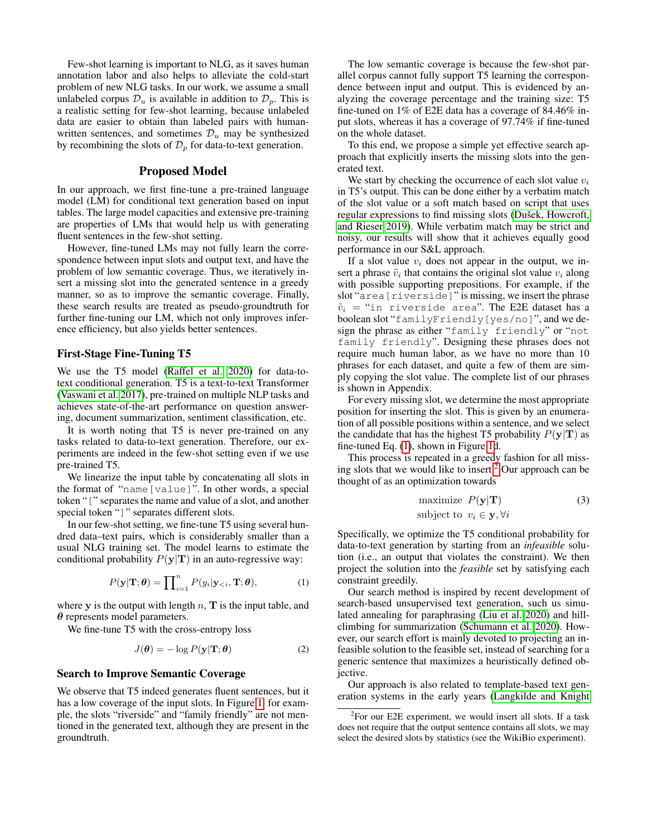Few-shot learning is important to NLG, as it saves human annotation labor and also helps to alleviate the cold-start problem of new NLG tasks. In our work, we assume a small unlabeled corpus  $\mathcal{D}_u$  is available in addition to  $\mathcal{D}_p$ . This is a realistic setting for few-shot learning, because unlabeled data are easier to obtain than labeled pairs with humanwritten sentences, and sometimes  $\mathcal{D}_u$  may be synthesized by recombining the slots of  $\mathcal{D}_p$  for data-to-text generation.

### Proposed Model

In our approach, we first fine-tune a pre-trained language model (LM) for conditional text generation based on input tables. The large model capacities and extensive pre-training are properties of LMs that would help us with generating fluent sentences in the few-shot setting.

However, fine-tuned LMs may not fully learn the correspondence between input slots and output text, and have the problem of low semantic coverage. Thus, we iteratively insert a missing slot into the generated sentence in a greedy manner, so as to improve the semantic coverage. Finally, these search results are treated as pseudo-groundtruth for further fine-tuning our LM, which not only improves inference efficiency, but also yields better sentences.

### First-Stage Fine-Tuning T5

We use the T5 model [\(Raffel et al. 2020\)](#page-8-2) for data-totext conditional generation. T5 is a text-to-text Transformer [\(Vaswani et al. 2017\)](#page-8-5), pre-trained on multiple NLP tasks and achieves state-of-the-art performance on question answering, document summarization, sentiment classification, etc.

It is worth noting that T5 is never pre-trained on any tasks related to data-to-text generation. Therefore, our experiments are indeed in the few-shot setting even if we use pre-trained T5.

We linearize the input table by concatenating all slots in the format of "name[value]". In other words, a special token "[" separates the name and value of a slot, and another special token "]" separates different slots.

In our few-shot setting, we fine-tune T5 using several hundred data–text pairs, which is considerably smaller than a usual NLG training set. The model learns to estimate the conditional probability  $P(y|T)$  in an auto-regressive way:

<span id="page-2-0"></span>
$$
P(\mathbf{y}|\mathbf{T};\boldsymbol{\theta}) = \prod_{i=1}^{n} P(y_i|\mathbf{y}_{< i}, \mathbf{T}; \boldsymbol{\theta}), \tag{1}
$$

where  $y$  is the output with length  $n$ ,  $T$  is the input table, and  $\theta$  represents model parameters.

We fine-tune T5 with the cross-entropy loss

<span id="page-2-2"></span>
$$
J(\boldsymbol{\theta}) = -\log P(\mathbf{y}|\mathbf{T};\boldsymbol{\theta})
$$
 (2)

#### Search to Improve Semantic Coverage

We observe that T5 indeed generates fluent sentences, but it has a low coverage of the input slots. In Figure [1,](#page-1-0) for example, the slots "riverside" and "family friendly" are not mentioned in the generated text, although they are present in the groundtruth.

The low semantic coverage is because the few-shot parallel corpus cannot fully support T5 learning the correspondence between input and output. This is evidenced by analyzing the coverage percentage and the training size: T5 fine-tuned on 1% of E2E data has a coverage of 84.46% input slots, whereas it has a coverage of 97.74% if fine-tuned on the whole dataset.

To this end, we propose a simple yet effective search approach that explicitly inserts the missing slots into the generated text.

We start by checking the occurrence of each slot value  $v_i$ in T5's output. This can be done either by a verbatim match of the slot value or a soft match based on script that uses regular expressions to find missing slots (Dušek, Howcroft, [and Rieser 2019\)](#page-7-17). While verbatim match may be strict and noisy, our results will show that it achieves equally good performance in our S&L approach.

If a slot value  $v_i$  does not appear in the output, we insert a phrase  $\tilde{v}_i$  that contains the original slot value  $v_i$  along with possible supporting prepositions. For example, if the slot "area[riverside]" is missing, we insert the phrase  $\tilde{v}_i$  = "in riverside area". The E2E dataset has a boolean slot "familyFriendly[yes/no]", and we design the phrase as either "family friendly" or "not family friendly". Designing these phrases does not require much human labor, as we have no more than 10 phrases for each dataset, and quite a few of them are simply copying the slot value. The complete list of our phrases is shown in Appendix.

For every missing slot, we determine the most appropriate position for inserting the slot. This is given by an enumeration of all possible positions within a sentence, and we select the candidate that has the highest T5 probability  $P(y|T)$  as fine-tuned Eq. [\(1\)](#page-2-0), shown in Figure [1d](#page-1-0).

This process is repeated in a greedy fashion for all missing slots that we would like to insert. $<sup>2</sup>$  $<sup>2</sup>$  $<sup>2</sup>$  Our approach can be</sup> thought of as an optimization towards

maximize 
$$
P(\mathbf{y}|\mathbf{T})
$$
 (3)  
subject to  $v_i \in \mathbf{y}, \forall i$ 

Specifically, we optimize the T5 conditional probability for data-to-text generation by starting from an *infeasible* solution (i.e., an output that violates the constraint). We then project the solution into the *feasible* set by satisfying each constraint greedily.

Our search method is inspired by recent development of search-based unsupervised text generation, such us simulated annealing for paraphrasing [\(Liu et al. 2020\)](#page-7-7) and hillclimbing for summarization [\(Schumann et al. 2020\)](#page-8-4). However, our search effort is mainly devoted to projecting an infeasible solution to the feasible set, instead of searching for a generic sentence that maximizes a heuristically defined objective.

Our approach is also related to template-based text generation systems in the early years [\(Langkilde and Knight](#page-7-3)

<span id="page-2-1"></span> $2$ For our E2E experiment, we would insert all slots. If a task does not require that the output sentence contains all slots, we may select the desired slots by statistics (see the WikiBio experiment).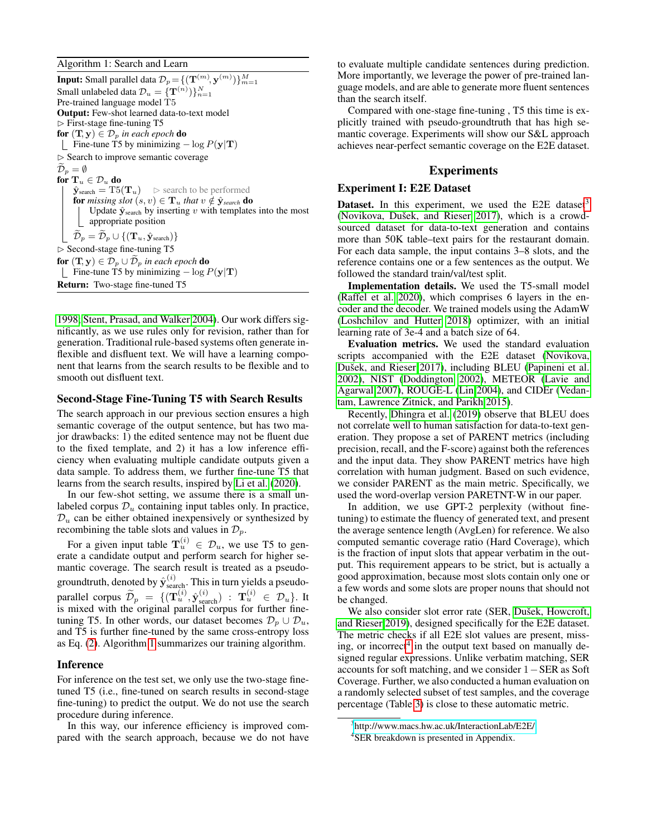<span id="page-3-0"></span>Algorithm 1: Search and Learn

**Input:** Small parallel data  $\mathcal{D}_p \! =\! \{(\mathbf{T}^{(m)}\!,\mathbf{y}^{(m)})\}_{m=1}^M$ Small unlabeled data  $\mathcal{D}_u = \{\mathbf{T}^{(n)})\}_{n=1}^N$ Pre-trained language model T5 Output: Few-shot learned data-to-text model  $\triangleright$  First-stage fine-tuning T5 for  $(T, y) \in \mathcal{D}_p$  *in each epoch* do Fine-tune T5 by minimizing  $-\log P(\mathbf{y}|\mathbf{T})$  $\triangleright$  Search to improve semantic coverage  $\mathcal{D}_p = \emptyset$ for  $\mathbf{T}_u \in \mathcal{D}_u$  do  $\hat{\mathbf{y}}_{\text{search}} = \text{T5}(\mathbf{T}_u)$   $\triangleright$  search to be performed for *missing slot*  $(s, v) \in T_u$  *that*  $v \notin \hat{y}_{\text{search}}$  do Update  $\hat{\mathbf{y}}_{\text{search}}$  by inserting v with templates into the most appropriate position  $\widetilde{\mathcal{D}}_p = \widetilde{\mathcal{D}}_p \cup \{(\mathbf{T}_u, \hat{\mathbf{y}}_{\text{search}})\}$ ✄ Second-stage fine-tuning T5 for  $(T, y) \in \mathcal{D}_p \cup \widetilde{\mathcal{D}}_p$  in each epoch do Fine-tune T5 by minimizing  $-\log P(y|T)$ Return: Two-stage fine-tuned T5

[1998;](#page-7-3) [Stent, Prasad, and Walker 2004\)](#page-8-0). Our work differs significantly, as we use rules only for revision, rather than for generation. Traditional rule-based systems often generate inflexible and disfluent text. We will have a learning component that learns from the search results to be flexible and to smooth out disfluent text.

### Second-Stage Fine-Tuning T5 with Search Results

The search approach in our previous section ensures a high semantic coverage of the output sentence, but has two major drawbacks: 1) the edited sentence may not be fluent due to the fixed template, and 2) it has a low inference efficiency when evaluating multiple candidate outputs given a data sample. To address them, we further fine-tune T5 that learns from the search results, inspired by [Li et al.](#page-7-6) [\(2020\)](#page-7-6).

In our few-shot setting, we assume there is a small unlabeled corpus  $\mathcal{D}_u$  containing input tables only. In practice,  $\mathcal{D}_u$  can be either obtained inexpensively or synthesized by recombining the table slots and values in  $\mathcal{D}_p$ .

For a given input table  $\mathbf{T}_u^{(i)} \in \mathcal{D}_u$ , we use T5 to generate a candidate output and perform search for higher semantic coverage. The search result is treated as a pseudogroundtruth, denoted by  $\hat{\mathbf{y}}_{\text{search}}^{(i)}$ . This in turn yields a pseudoparallel corpus  $\widetilde{\mathcal{D}}_p = \{ (\mathbf{T}_u^{(i)}, \hat{\mathbf{y}}_{search}^{(i)}) : \mathbf{T}_u^{(i)} \in \mathcal{D}_u \}$ . It is mixed with the original parallel corpus for further finetuning T5. In other words, our dataset becomes  $\mathcal{D}_p \cup \mathcal{D}_u$ , and T5 is further fine-tuned by the same cross-entropy loss as Eq. [\(2\)](#page-2-2). Algorithm [1](#page-3-0) summarizes our training algorithm.

#### Inference

For inference on the test set, we only use the two-stage finetuned T5 (i.e., fine-tuned on search results in second-stage fine-tuning) to predict the output. We do not use the search procedure during inference.

In this way, our inference efficiency is improved compared with the search approach, because we do not have to evaluate multiple candidate sentences during prediction. More importantly, we leverage the power of pre-trained language models, and are able to generate more fluent sentences than the search itself.

Compared with one-stage fine-tuning , T5 this time is explicitly trained with pseudo-groundtruth that has high semantic coverage. Experiments will show our S&L approach achieves near-perfect semantic coverage on the E2E dataset.

### Experiments

#### Experiment I: E2E Dataset

**Dataset.** In this experiment, we used the E2E dataset<sup>[3](#page-3-1)</sup> (Novikova, Dušek, and Rieser  $2017$ ), which is a crowdsourced dataset for data-to-text generation and contains more than 50K table–text pairs for the restaurant domain. For each data sample, the input contains 3–8 slots, and the reference contains one or a few sentences as the output. We followed the standard train/val/test split.

Implementation details. We used the T5-small model [\(Raffel et al. 2020\)](#page-8-2), which comprises 6 layers in the encoder and the decoder. We trained models using the AdamW [\(Loshchilov and Hutter 2018\)](#page-7-18) optimizer, with an initial learning rate of 3e-4 and a batch size of 64.

Evaluation metrics. We used the standard evaluation scripts accompanied with the E2E dataset [\(Novikova,](#page-7-0) Dušek, and Rieser 2017), including BLEU [\(Papineni et al.](#page-8-6) [2002\)](#page-8-6), NIST [\(Doddington 2002\)](#page-7-19), METEOR [\(Lavie and](#page-7-20) [Agarwal 2007\)](#page-7-20), ROUGE-L [\(Lin 2004\)](#page-7-21), and CIDEr [\(Vedan](#page-8-7)[tam, Lawrence Zitnick, and Parikh 2015\)](#page-8-7).

Recently, [Dhingra et al.](#page-7-13) [\(2019\)](#page-7-13) observe that BLEU does not correlate well to human satisfaction for data-to-text generation. They propose a set of PARENT metrics (including precision, recall, and the F-score) against both the references and the input data. They show PARENT metrics have high correlation with human judgment. Based on such evidence, we consider PARENT as the main metric. Specifically, we used the word-overlap version PARETNT-W in our paper.

In addition, we use GPT-2 perplexity (without finetuning) to estimate the fluency of generated text, and present the average sentence length (AvgLen) for reference. We also computed semantic coverage ratio (Hard Coverage), which is the fraction of input slots that appear verbatim in the output. This requirement appears to be strict, but is actually a good approximation, because most slots contain only one or a few words and some slots are proper nouns that should not be changed.

We also consider slot error rate (SER, Dušek, Howcroft, [and Rieser 2019\)](#page-7-17), designed specifically for the E2E dataset. The metric checks if all E2E slot values are present, miss-ing, or incorrect<sup>[4](#page-3-2)</sup> in the output text based on manually designed regular expressions. Unlike verbatim matching, SER accounts for soft matching, and we consider 1−SER as Soft Coverage. Further, we also conducted a human evaluation on a randomly selected subset of test samples, and the coverage percentage (Table [3\)](#page-6-0) is close to these automatic metric.

<span id="page-3-1"></span><sup>3</sup> <http://www.macs.hw.ac.uk/InteractionLab/E2E/>

<span id="page-3-2"></span><sup>4</sup> SER breakdown is presented in Appendix.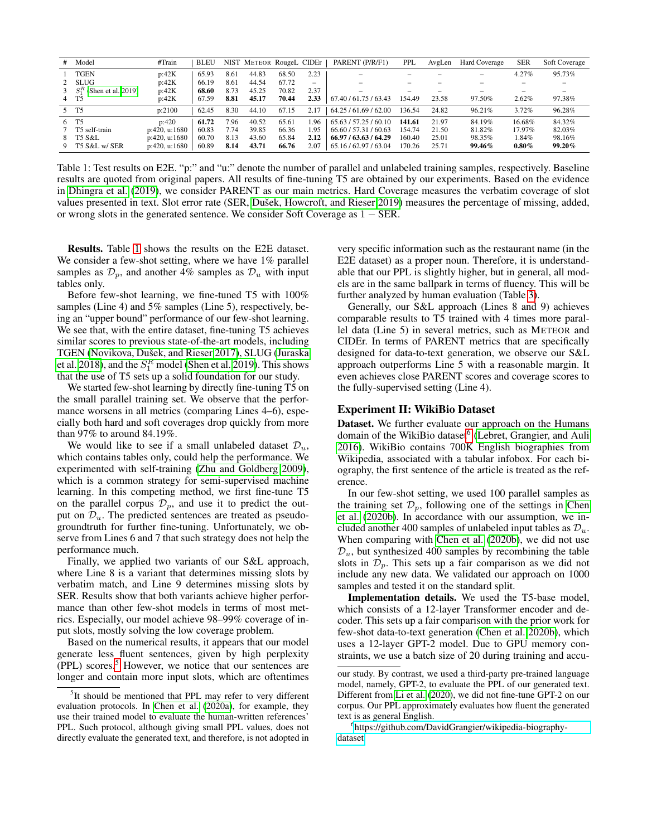<span id="page-4-0"></span>

| #  | Model                        | #Train        | <b>BLEU</b> |      | NIST METEOR RougeL CIDEr |       |      | PARENT (P/R/F1)          | <b>PPL</b>               | AvgLen | Hard Coverage | <b>SER</b> | Soft Coverage |
|----|------------------------------|---------------|-------------|------|--------------------------|-------|------|--------------------------|--------------------------|--------|---------------|------------|---------------|
|    | TGEN                         | p:42K         | 65.93       | 8.61 | 44.83                    | 68.50 | 2.23 | -                        | $\overline{\phantom{a}}$ |        | -             | 4.27%      | 95.73%        |
|    | 2 SLUG                       | p:42K         | 66.19       | 8.61 | 44.54                    | 67.72 | -    | $\overline{\phantom{a}}$ | $\overline{\phantom{a}}$ |        |               | -          |               |
|    | 3 $S_1^R$ (Shen et al. 2019) | p:42K         | 68.60       | 8.73 | 45.25                    | 70.82 | 2.37 |                          | $\overline{\phantom{a}}$ |        |               |            |               |
|    | 4 T <sub>5</sub>             | p:42K         | 67.59       | 8.81 | 45.17                    | 70.44 | 2.33 | 67.40 / 61.75 / 63.43    | 154.49                   | 23.58  | 97.50%        | 2.62%      | 97.38%        |
|    | 5 T <sub>5</sub>             | p:2100        | 62.45       | 8.30 | 44.10                    | 67.15 | 2.17 | 64.25 / 61.69 / 62.00    | 136.54                   | 24.82  | 96.21%        | 3.72%      | 96.28%        |
|    | 6 T <sub>5</sub>             | p:420         | 61.72       | 7.96 | 40.52                    | 65.61 | 1.96 | 65.63 / 57.25 / 60.10    | 141.61                   | 21.97  | 84.19%        | 16.68%     | 84.32%        |
|    | T5 self-train                | p:420, u:1680 | 60.83       | 7.74 | 39.85                    | 66.36 | 1.95 | 66.60 / 57.31 / 60.63    | 154.74                   | 21.50  | 81.82%        | 17.97%     | 82.03%        |
| 8. | T5 S&L                       | p:420, u:1680 | 60.70       | 8.13 | 43.60                    | 65.84 | 2.12 | 66.97 / 63.63 / 64.29    | 160.40                   | 25.01  | 98.35%        | 1.84%      | 98.16%        |
|    | T5 S&L w/ SER                | p:420, u:1680 | 60.89       | 8.14 | 43.71                    | 66.76 | 2.07 | 65.16/62.97/63.04        | 170.26                   | 25.71  | 99.46%        | $0.80\%$   | 99.20%        |

Table 1: Test results on E2E. "p:" and "u:" denote the number of parallel and unlabeled training samples, respectively. Baseline results are quoted from original papers. All results of fine-tuning T5 are obtained by our experiments. Based on the evidence in [Dhingra et al.](#page-7-13) [\(2019\)](#page-7-13), we consider PARENT as our main metrics. Hard Coverage measures the verbatim coverage of slot values presented in text. Slot error rate (SER, Dušek, Howcroft, and Rieser 2019) measures the percentage of missing, added, or wrong slots in the generated sentence. We consider Soft Coverage as 1 − SER.

Results. Table [1](#page-4-0) shows the results on the E2E dataset. We consider a few-shot setting, where we have 1% parallel samples as  $\mathcal{D}_p$ , and another 4% samples as  $\mathcal{D}_u$  with input tables only.

Before few-shot learning, we fine-tuned T5 with 100% samples (Line 4) and 5% samples (Line 5), respectively, being an "upper bound" performance of our few-shot learning. We see that, with the entire dataset, fine-tuning T5 achieves similar scores to previous state-of-the-art models, including TGEN (Novikova, Dušek, and Rieser 2017), SLUG [\(Juraska](#page-7-22) [et al. 2018\)](#page-7-22), and the  $S_1^R$  model [\(Shen et al. 2019\)](#page-8-8). This shows that the use of T5 sets up a solid foundation for our study.

We started few-shot learning by directly fine-tuning T5 on the small parallel training set. We observe that the performance worsens in all metrics (comparing Lines 4–6), especially both hard and soft coverages drop quickly from more than 97% to around 84.19%.

We would like to see if a small unlabeled dataset  $\mathcal{D}_u$ , which contains tables only, could help the performance. We experimented with self-training [\(Zhu and Goldberg 2009\)](#page-8-9), which is a common strategy for semi-supervised machine learning. In this competing method, we first fine-tune T5 on the parallel corpus  $\mathcal{D}_p$ , and use it to predict the output on  $\mathcal{D}_u$ . The predicted sentences are treated as pseudogroundtruth for further fine-tuning. Unfortunately, we observe from Lines 6 and 7 that such strategy does not help the performance much.

Finally, we applied two variants of our S&L approach, where Line 8 is a variant that determines missing slots by verbatim match, and Line 9 determines missing slots by SER. Results show that both variants achieve higher performance than other few-shot models in terms of most metrics. Especially, our model achieve 98–99% coverage of input slots, mostly solving the low coverage problem.

Based on the numerical results, it appears that our model generate less fluent sentences, given by high perplexity  $(PPL)$  scores.<sup>[5](#page-4-1)</sup> However, we notice that our sentences are longer and contain more input slots, which are oftentimes very specific information such as the restaurant name (in the E2E dataset) as a proper noun. Therefore, it is understandable that our PPL is slightly higher, but in general, all models are in the same ballpark in terms of fluency. This will be further analyzed by human evaluation (Table [3\)](#page-6-0).

Generally, our S&L approach (Lines 8 and 9) achieves comparable results to T5 trained with 4 times more parallel data (Line 5) in several metrics, such as METEOR and CIDEr. In terms of PARENT metrics that are specifically designed for data-to-text generation, we observe our S&L approach outperforms Line 5 with a reasonable margin. It even achieves close PARENT scores and coverage scores to the fully-supervised setting (Line 4).

#### Experiment II: WikiBio Dataset

Dataset. We further evaluate our approach on the Humans domain of the WikiBio dataset<sup>[6](#page-4-2)</sup> [\(Lebret, Grangier, and Auli](#page-7-1) [2016\)](#page-7-1). WikiBio contains 700K English biographies from Wikipedia, associated with a tabular infobox. For each biography, the first sentence of the article is treated as the reference.

In our few-shot setting, we used 100 parallel samples as the training set  $\mathcal{D}_p$ , following one of the settings in [Chen](#page-7-5) [et al.](#page-7-5) [\(2020b\)](#page-7-5). In accordance with our assumption, we included another 400 samples of unlabeled input tables as  $\mathcal{D}_u$ . When comparing with [Chen et al.](#page-7-5) [\(2020b\)](#page-7-5), we did not use  $\mathcal{D}_u$ , but synthesized 400 samples by recombining the table slots in  $\mathcal{D}_p$ . This sets up a fair comparison as we did not include any new data. We validated our approach on 1000 samples and tested it on the standard split.

Implementation details. We used the T5-base model, which consists of a 12-layer Transformer encoder and decoder. This sets up a fair comparison with the prior work for few-shot data-to-text generation [\(Chen et al. 2020b\)](#page-7-5), which uses a 12-layer GPT-2 model. Due to GPU memory constraints, we use a batch size of 20 during training and accu-

<span id="page-4-1"></span><sup>&</sup>lt;sup>5</sup>It should be mentioned that PPL may refer to very different evaluation protocols. In [Chen et al.](#page-7-23) [\(2020a\)](#page-7-23), for example, they use their trained model to evaluate the human-written references' PPL. Such protocol, although giving small PPL values, does not directly evaluate the generated text, and therefore, is not adopted in

our study. By contrast, we used a third-party pre-trained language model, namely, GPT-2, to evaluate the PPL of our generated text. Different from [Li et al.](#page-7-6) [\(2020\)](#page-7-6), we did not fine-tune GPT-2 on our corpus. Our PPL approximately evaluates how fluent the generated text is as general English.

<span id="page-4-2"></span><sup>6</sup> [https://github.com/DavidGrangier/wikipedia-biography](https://github.com/DavidGrangier/wikipedia-biography-dataset)[dataset](https://github.com/DavidGrangier/wikipedia-biography-dataset)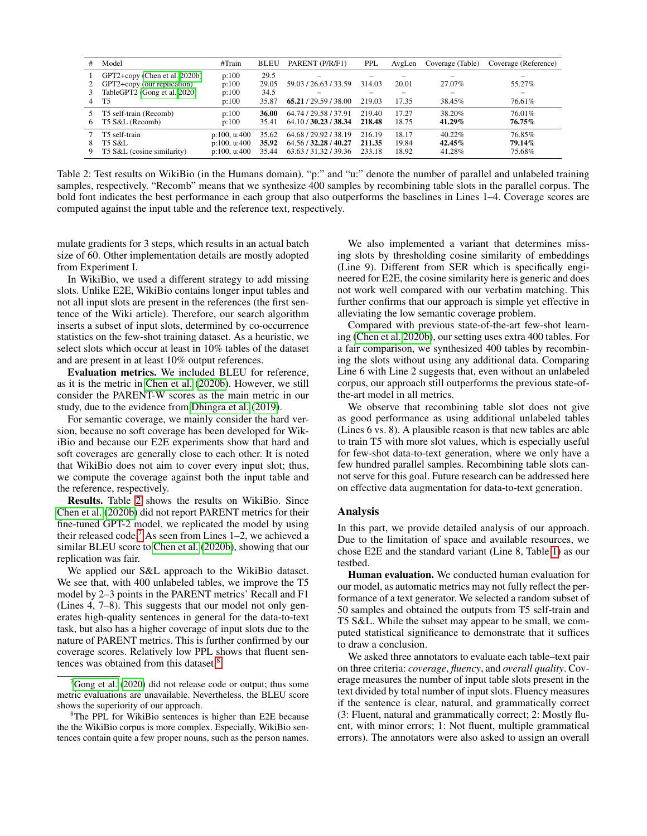<span id="page-5-0"></span>

|   | Model                                                                                        | #Train                                       | <b>BLEU</b>             | PARENT (P/R/F1)                                                         | PPL                        | AvgLen                  | Coverage (Table)                   | Coverage (Reference)               |
|---|----------------------------------------------------------------------------------------------|----------------------------------------------|-------------------------|-------------------------------------------------------------------------|----------------------------|-------------------------|------------------------------------|------------------------------------|
| 3 | GPT2+copy (Chen et al. 2020b)<br>GPT2+copy (our replication)<br>TableGPT2 (Gong et al. 2020) | p:100<br>p:100<br>p:100                      | 29.5<br>29.05<br>34.5   | -<br>59.03 / 26.63 / 33.59                                              | 314.03                     | 20.01                   | $\overline{\phantom{0}}$<br>27.07% | $\overline{\phantom{0}}$<br>55.27% |
|   | Т5                                                                                           | p:100                                        | 35.87                   | 65.21 / 29.59 / 38.00                                                   | 219.03                     | 17.35                   | 38.45%                             | 76.61%                             |
| 6 | T5 self-train (Recomb)<br>T5 S&L (Recomb)                                                    | p:100<br>p:100                               | 36.00<br>35.41          | 64.74 / 29.58 / 37.91<br>64.10 / 30.23 / 38.34                          | 219.40<br>218.48           | 17.27<br>18.75          | 38.20%<br>$41.29\%$                | 76.01%<br>76.75%                   |
| 9 | T5 self-train<br>T5 S&L<br>T5 S&L (cosine similarity)                                        | p:100, u:400<br>p:100, u:400<br>p:100, u:400 | 35.62<br>35.92<br>35.44 | 64.68 / 29.92 / 38.19<br>64.56 / 32.28 / 40.27<br>63.63 / 31.32 / 39.36 | 216.19<br>211.35<br>233.18 | 18.17<br>19.84<br>18.92 | $40.22\%$<br>$42.45\%$<br>41.28%   | 76.85%<br>79.14%<br>75.68%         |

Table 2: Test results on WikiBio (in the Humans domain). "p:" and "u:" denote the number of parallel and unlabeled training samples, respectively. "Recomb" means that we synthesize 400 samples by recombining table slots in the parallel corpus. The bold font indicates the best performance in each group that also outperforms the baselines in Lines 1–4. Coverage scores are computed against the input table and the reference text, respectively.

mulate gradients for 3 steps, which results in an actual batch size of 60. Other implementation details are mostly adopted from Experiment I.

In WikiBio, we used a different strategy to add missing slots. Unlike E2E, WikiBio contains longer input tables and not all input slots are present in the references (the first sentence of the Wiki article). Therefore, our search algorithm inserts a subset of input slots, determined by co-occurrence statistics on the few-shot training dataset. As a heuristic, we select slots which occur at least in 10% tables of the dataset and are present in at least 10% output references.

Evaluation metrics. We included BLEU for reference, as it is the metric in [Chen et al.](#page-7-5) [\(2020b\)](#page-7-5). However, we still consider the PARENT-W scores as the main metric in our study, due to the evidence from [Dhingra et al.](#page-7-13) [\(2019\)](#page-7-13).

For semantic coverage, we mainly consider the hard version, because no soft coverage has been developed for WikiBio and because our E2E experiments show that hard and soft coverages are generally close to each other. It is noted that WikiBio does not aim to cover every input slot; thus, we compute the coverage against both the input table and the reference, respectively.

Results. Table [2](#page-5-0) shows the results on WikiBio. Since [Chen et al.](#page-7-5) [\(2020b\)](#page-7-5) did not report PARENT metrics for their fine-tuned GPT-2 model, we replicated the model by using their released code.<sup>[7](#page-5-1)</sup> As seen from Lines 1–2, we achieved a similar BLEU score to [Chen et al.](#page-7-5) [\(2020b\)](#page-7-5), showing that our replication was fair.

We applied our S&L approach to the WikiBio dataset. We see that, with 400 unlabeled tables, we improve the T5 model by 2–3 points in the PARENT metrics' Recall and F1 (Lines 4, 7–8). This suggests that our model not only generates high-quality sentences in general for the data-to-text task, but also has a higher coverage of input slots due to the nature of PARENT metrics. This is further confirmed by our coverage scores. Relatively low PPL shows that fluent sen-tences was obtained from this dataset.<sup>[8](#page-5-2)</sup>

We also implemented a variant that determines missing slots by thresholding cosine similarity of embeddings (Line 9). Different from SER which is specifically engineered for E2E, the cosine similarity here is generic and does not work well compared with our verbatim matching. This further confirms that our approach is simple yet effective in alleviating the low semantic coverage problem.

Compared with previous state-of-the-art few-shot learning [\(Chen et al. 2020b\)](#page-7-5), our setting uses extra 400 tables. For a fair comparison, we synthesized 400 tables by recombining the slots without using any additional data. Comparing Line 6 with Line 2 suggests that, even without an unlabeled corpus, our approach still outperforms the previous state-ofthe-art model in all metrics.

We observe that recombining table slot does not give as good performance as using additional unlabeled tables (Lines 6 vs. 8). A plausible reason is that new tables are able to train T5 with more slot values, which is especially useful for few-shot data-to-text generation, where we only have a few hundred parallel samples. Recombining table slots cannot serve for this goal. Future research can be addressed here on effective data augmentation for data-to-text generation.

#### Analysis

In this part, we provide detailed analysis of our approach. Due to the limitation of space and available resources, we chose E2E and the standard variant (Line 8, Table [1\)](#page-4-0) as our testbed.

Human evaluation. We conducted human evaluation for our model, as automatic metrics may not fully reflect the performance of a text generator. We selected a random subset of 50 samples and obtained the outputs from T5 self-train and T5 S&L. While the subset may appear to be small, we computed statistical significance to demonstrate that it suffices to draw a conclusion.

We asked three annotators to evaluate each table–text pair on three criteria: *coverage*, *fluency*, and *overall quality*. Coverage measures the number of input table slots present in the text divided by total number of input slots. Fluency measures if the sentence is clear, natural, and grammatically correct (3: Fluent, natural and grammatically correct; 2: Mostly fluent, with minor errors; 1: Not fluent, multiple grammatical errors). The annotators were also asked to assign an overall

<span id="page-5-1"></span> $7$ [Gong et al.](#page-7-14) [\(2020\)](#page-7-14) did not release code or output; thus some metric evaluations are unavailable. Nevertheless, the BLEU score shows the superiority of our approach.

<span id="page-5-2"></span><sup>&</sup>lt;sup>8</sup>The PPL for WikiBio sentences is higher than E2E because the the WikiBio corpus is more complex. Especially, WikiBio sentences contain quite a few proper nouns, such as the person names.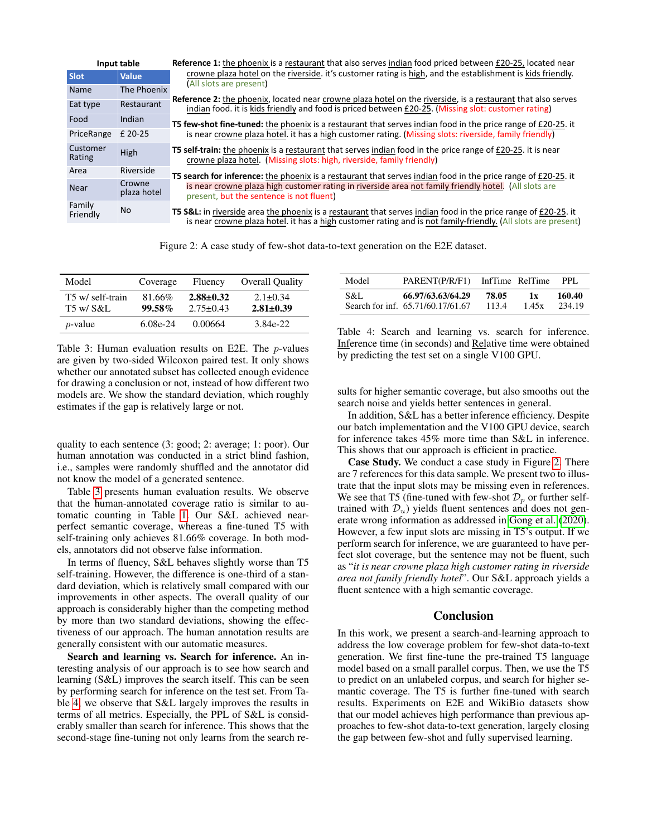<span id="page-6-2"></span>

| Input table        |                       | <b>Reference 1:</b> the phoenix is a restaurant that also serves indian food priced between £20-25, located near                                                                                                                |  |  |  |
|--------------------|-----------------------|---------------------------------------------------------------------------------------------------------------------------------------------------------------------------------------------------------------------------------|--|--|--|
| <b>Slot</b>        | <b>Value</b>          | crowne plaza hotel on the riverside. it's customer rating is high, and the establishment is kids friendly.                                                                                                                      |  |  |  |
| Name               | The Phoenix           | (All slots are present)                                                                                                                                                                                                         |  |  |  |
| Eat type           | Restaurant            | <b>Reference 2:</b> the phoenix, located near crowne plaza hotel on the riverside, is a restaurant that also serves<br>indian food, it is kids friendly and food is priced between £20-25. (Missing slot: customer rating)      |  |  |  |
| Food               | Indian                | <b>T5 few-shot fine-tuned:</b> the phoenix is a restaurant that serves indian food in the price range of £20-25. it                                                                                                             |  |  |  |
| PriceRange         | £ 20-25               | is near crowne plaza hotel. it has a high customer rating. (Missing slots: riverside, family friendly)                                                                                                                          |  |  |  |
| Customer<br>Rating | High                  | <b>T5 self-train:</b> the phoenix is a restaurant that serves indian food in the price range of £20-25, it is near<br>crowne plaza hotel. (Missing slots: high, riverside, family friendly)                                     |  |  |  |
| Area               | Riverside             | T5 search for inference: the phoenix is a restaurant that serves indian food in the price range of £20-25. it                                                                                                                   |  |  |  |
| <b>Near</b>        | Crowne<br>plaza hotel | is near crowne plaza high customer rating in riverside area not family friendly hotel. (All slots are<br>present, but the sentence is not fluent)                                                                               |  |  |  |
| Family<br>Friendly | No.                   | T5 S&L: in riverside area the phoenix is a restaurant that serves indian food in the price range of £20-25. it<br>is near crowne plaza hotel. it has a high customer rating and is not family-friendly. (All slots are present) |  |  |  |

Figure 2: A case study of few-shot data-to-text generation on the E2E dataset.

<span id="page-6-0"></span>

| Model                         | Coverage            | Fluency                            | <b>Overall Quality</b>          |
|-------------------------------|---------------------|------------------------------------|---------------------------------|
| T5 w/ self-train<br>T5 w/ S&L | 81.66%<br>$99.58\%$ | $2.88 \pm 0.32$<br>$2.75 \pm 0.43$ | $2.1 + 0.34$<br>$2.81 \pm 0.39$ |
| $p$ -value                    | $6.08e-24$          | 0.00664                            | 3.84e-22                        |

Table 3: Human evaluation results on E2E. The p-values are given by two-sided Wilcoxon paired test. It only shows whether our annotated subset has collected enough evidence for drawing a conclusion or not, instead of how different two models are. We show the standard deviation, which roughly estimates if the gap is relatively large or not.

quality to each sentence (3: good; 2: average; 1: poor). Our human annotation was conducted in a strict blind fashion, i.e., samples were randomly shuffled and the annotator did not know the model of a generated sentence.

Table [3](#page-6-0) presents human evaluation results. We observe that the human-annotated coverage ratio is similar to automatic counting in Table [1.](#page-4-0) Our S&L achieved nearperfect semantic coverage, whereas a fine-tuned T5 with self-training only achieves 81.66% coverage. In both models, annotators did not observe false information.

In terms of fluency, S&L behaves slightly worse than T5 self-training. However, the difference is one-third of a standard deviation, which is relatively small compared with our improvements in other aspects. The overall quality of our approach is considerably higher than the competing method by more than two standard deviations, showing the effectiveness of our approach. The human annotation results are generally consistent with our automatic measures.

Search and learning vs. Search for inference. An interesting analysis of our approach is to see how search and learning (S&L) improves the search itself. This can be seen by performing search for inference on the test set. From Table [4,](#page-6-1) we observe that S&L largely improves the results in terms of all metrics. Especially, the PPL of S&L is considerably smaller than search for inference. This shows that the second-stage fine-tuning not only learns from the search re-

<span id="page-6-1"></span>

| Model | PARENT(P/R/F1)                    | InfTime RelTime |       | PPI.   |
|-------|-----------------------------------|-----------------|-------|--------|
| S&L   | 66.97/63.63/64.29                 | 78.05           | 1 x   | 160.40 |
|       | Search for inf. 65.71/60.17/61.67 | 113.4           | 1.45x | 234.19 |

Table 4: Search and learning vs. search for inference. Inference time (in seconds) and Relative time were obtained by predicting the test set on a single V100 GPU.

sults for higher semantic coverage, but also smooths out the search noise and yields better sentences in general.

In addition, S&L has a better inference efficiency. Despite our batch implementation and the V100 GPU device, search for inference takes 45% more time than S&L in inference. This shows that our approach is efficient in practice.

Case Study. We conduct a case study in Figure [2.](#page-6-2) There are 7 references for this data sample. We present two to illustrate that the input slots may be missing even in references. We see that T5 (fine-tuned with few-shot  $\mathcal{D}_p$  or further selftrained with  $\mathcal{D}_u$ ) yields fluent sentences and does not generate wrong information as addressed in [Gong et al.](#page-7-14) [\(2020\)](#page-7-14). However, a few input slots are missing in T5's output. If we perform search for inference, we are guaranteed to have perfect slot coverage, but the sentence may not be fluent, such as "*it is near crowne plaza high customer rating in riverside area not family friendly hotel*". Our S&L approach yields a fluent sentence with a high semantic coverage.

# Conclusion

In this work, we present a search-and-learning approach to address the low coverage problem for few-shot data-to-text generation. We first fine-tune the pre-trained T5 language model based on a small parallel corpus. Then, we use the T5 to predict on an unlabeled corpus, and search for higher semantic coverage. The T5 is further fine-tuned with search results. Experiments on E2E and WikiBio datasets show that our model achieves high performance than previous approaches to few-shot data-to-text generation, largely closing the gap between few-shot and fully supervised learning.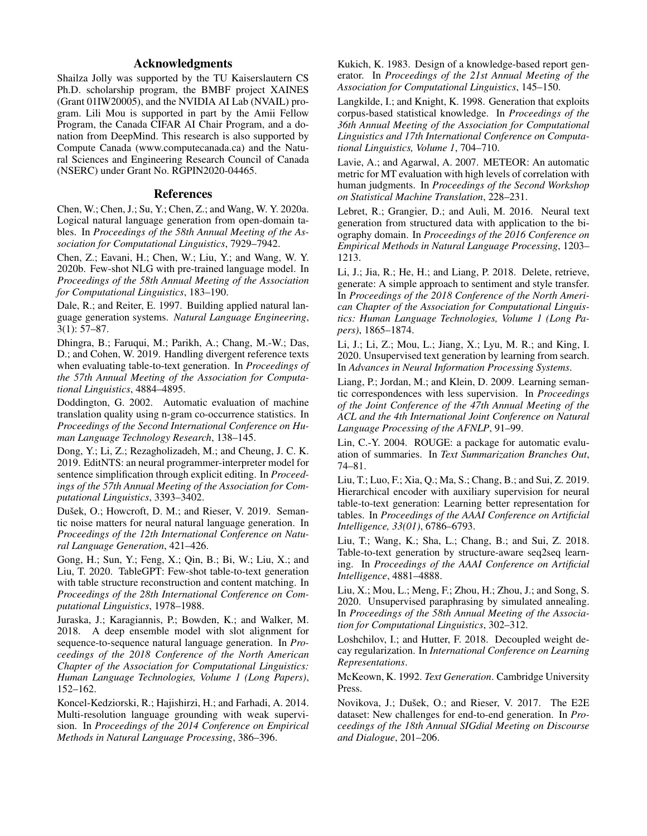# Acknowledgments

Shailza Jolly was supported by the TU Kaiserslautern CS Ph.D. scholarship program, the BMBF project XAINES (Grant 01IW20005), and the NVIDIA AI Lab (NVAIL) program. Lili Mou is supported in part by the Amii Fellow Program, the Canada CIFAR AI Chair Program, and a donation from DeepMind. This research is also supported by Compute Canada (www.computecanada.ca) and the Natural Sciences and Engineering Research Council of Canada (NSERC) under Grant No. RGPIN2020-04465.

### References

<span id="page-7-23"></span>Chen, W.; Chen, J.; Su, Y.; Chen, Z.; and Wang, W. Y. 2020a. Logical natural language generation from open-domain tables. In *Proceedings of the 58th Annual Meeting of the Association for Computational Linguistics*, 7929–7942.

<span id="page-7-5"></span>Chen, Z.; Eavani, H.; Chen, W.; Liu, Y.; and Wang, W. Y. 2020b. Few-shot NLG with pre-trained language model. In *Proceedings of the 58th Annual Meeting of the Association for Computational Linguistics*, 183–190.

<span id="page-7-8"></span>Dale, R.; and Reiter, E. 1997. Building applied natural language generation systems. *Natural Language Engineering*, 3(1): 57–87.

<span id="page-7-13"></span>Dhingra, B.; Faruqui, M.; Parikh, A.; Chang, M.-W.; Das, D.; and Cohen, W. 2019. Handling divergent reference texts when evaluating table-to-text generation. In *Proceedings of the 57th Annual Meeting of the Association for Computational Linguistics*, 4884–4895.

<span id="page-7-19"></span>Doddington, G. 2002. Automatic evaluation of machine translation quality using n-gram co-occurrence statistics. In *Proceedings of the Second International Conference on Human Language Technology Research*, 138–145.

<span id="page-7-15"></span>Dong, Y.; Li, Z.; Rezagholizadeh, M.; and Cheung, J. C. K. 2019. EditNTS: an neural programmer-interpreter model for sentence simplification through explicit editing. In *Proceedings of the 57th Annual Meeting of the Association for Computational Linguistics*, 3393–3402.

<span id="page-7-17"></span>Dušek, O.; Howcroft, D. M.; and Rieser, V. 2019. Semantic noise matters for neural natural language generation. In *Proceedings of the 12th International Conference on Natural Language Generation*, 421–426.

<span id="page-7-14"></span>Gong, H.; Sun, Y.; Feng, X.; Qin, B.; Bi, W.; Liu, X.; and Liu, T. 2020. TableGPT: Few-shot table-to-text generation with table structure reconstruction and content matching. In *Proceedings of the 28th International Conference on Computational Linguistics*, 1978–1988.

<span id="page-7-22"></span>Juraska, J.; Karagiannis, P.; Bowden, K.; and Walker, M. 2018. A deep ensemble model with slot alignment for sequence-to-sequence natural language generation. In *Proceedings of the 2018 Conference of the North American Chapter of the Association for Computational Linguistics: Human Language Technologies, Volume 1 (Long Papers)*, 152–162.

<span id="page-7-11"></span>Koncel-Kedziorski, R.; Hajishirzi, H.; and Farhadi, A. 2014. Multi-resolution language grounding with weak supervision. In *Proceedings of the 2014 Conference on Empirical Methods in Natural Language Processing*, 386–396.

<span id="page-7-9"></span>Kukich, K. 1983. Design of a knowledge-based report generator. In *Proceedings of the 21st Annual Meeting of the Association for Computational Linguistics*, 145–150.

<span id="page-7-3"></span>Langkilde, I.; and Knight, K. 1998. Generation that exploits corpus-based statistical knowledge. In *Proceedings of the 36th Annual Meeting of the Association for Computational Linguistics and 17th International Conference on Computational Linguistics, Volume 1*, 704–710.

<span id="page-7-20"></span>Lavie, A.; and Agarwal, A. 2007. METEOR: An automatic metric for MT evaluation with high levels of correlation with human judgments. In *Proceedings of the Second Workshop on Statistical Machine Translation*, 228–231.

<span id="page-7-1"></span>Lebret, R.; Grangier, D.; and Auli, M. 2016. Neural text generation from structured data with application to the biography domain. In *Proceedings of the 2016 Conference on Empirical Methods in Natural Language Processing*, 1203– 1213.

<span id="page-7-16"></span>Li, J.; Jia, R.; He, H.; and Liang, P. 2018. Delete, retrieve, generate: A simple approach to sentiment and style transfer. In *Proceedings of the 2018 Conference of the North American Chapter of the Association for Computational Linguistics: Human Language Technologies, Volume 1 (Long Papers)*, 1865–1874.

<span id="page-7-6"></span>Li, J.; Li, Z.; Mou, L.; Jiang, X.; Lyu, M. R.; and King, I. 2020. Unsupervised text generation by learning from search. In *Advances in Neural Information Processing Systems*.

<span id="page-7-2"></span>Liang, P.; Jordan, M.; and Klein, D. 2009. Learning semantic correspondences with less supervision. In *Proceedings of the Joint Conference of the 47th Annual Meeting of the ACL and the 4th International Joint Conference on Natural Language Processing of the AFNLP*, 91–99.

<span id="page-7-21"></span>Lin, C.-Y. 2004. ROUGE: a package for automatic evaluation of summaries. In *Text Summarization Branches Out*, 74–81.

<span id="page-7-12"></span>Liu, T.; Luo, F.; Xia, Q.; Ma, S.; Chang, B.; and Sui, Z. 2019. Hierarchical encoder with auxiliary supervision for neural table-to-text generation: Learning better representation for tables. In *Proceedings of the AAAI Conference on Artificial Intelligence, 33(01)*, 6786–6793.

<span id="page-7-4"></span>Liu, T.; Wang, K.; Sha, L.; Chang, B.; and Sui, Z. 2018. Table-to-text generation by structure-aware seq2seq learning. In *Proceedings of the AAAI Conference on Artificial Intelligence*, 4881–4888.

<span id="page-7-7"></span>Liu, X.; Mou, L.; Meng, F.; Zhou, H.; Zhou, J.; and Song, S. 2020. Unsupervised paraphrasing by simulated annealing. In *Proceedings of the 58th Annual Meeting of the Association for Computational Linguistics*, 302–312.

<span id="page-7-18"></span>Loshchilov, I.; and Hutter, F. 2018. Decoupled weight decay regularization. In *International Conference on Learning Representations*.

<span id="page-7-10"></span>McKeown, K. 1992. *Text Generation*. Cambridge University Press.

<span id="page-7-0"></span>Novikova, J.; Dušek, O.; and Rieser, V. 2017. The E2E dataset: New challenges for end-to-end generation. In *Proceedings of the 18th Annual SIGdial Meeting on Discourse and Dialogue*, 201–206.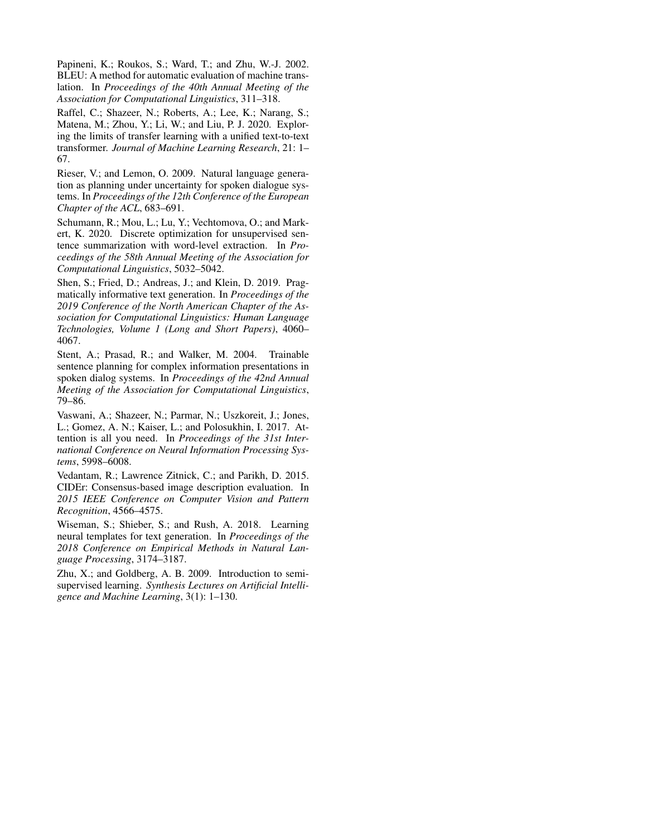<span id="page-8-6"></span>Papineni, K.; Roukos, S.; Ward, T.; and Zhu, W.-J. 2002. BLEU: A method for automatic evaluation of machine translation. In *Proceedings of the 40th Annual Meeting of the Association for Computational Linguistics*, 311–318.

<span id="page-8-2"></span>Raffel, C.; Shazeer, N.; Roberts, A.; Lee, K.; Narang, S.; Matena, M.; Zhou, Y.; Li, W.; and Liu, P. J. 2020. Exploring the limits of transfer learning with a unified text-to-text transformer. *Journal of Machine Learning Research*, 21: 1– 67.

<span id="page-8-1"></span>Rieser, V.; and Lemon, O. 2009. Natural language generation as planning under uncertainty for spoken dialogue systems. In *Proceedings of the 12th Conference of the European Chapter of the ACL*, 683–691.

<span id="page-8-4"></span>Schumann, R.; Mou, L.; Lu, Y.; Vechtomova, O.; and Markert, K. 2020. Discrete optimization for unsupervised sentence summarization with word-level extraction. In *Proceedings of the 58th Annual Meeting of the Association for Computational Linguistics*, 5032–5042.

<span id="page-8-8"></span>Shen, S.; Fried, D.; Andreas, J.; and Klein, D. 2019. Pragmatically informative text generation. In *Proceedings of the 2019 Conference of the North American Chapter of the Association for Computational Linguistics: Human Language Technologies, Volume 1 (Long and Short Papers)*, 4060– 4067.

<span id="page-8-0"></span>Stent, A.; Prasad, R.; and Walker, M. 2004. Trainable sentence planning for complex information presentations in spoken dialog systems. In *Proceedings of the 42nd Annual Meeting of the Association for Computational Linguistics*, 79–86.

<span id="page-8-5"></span>Vaswani, A.; Shazeer, N.; Parmar, N.; Uszkoreit, J.; Jones, L.; Gomez, A. N.; Kaiser, L.; and Polosukhin, I. 2017. Attention is all you need. In *Proceedings of the 31st International Conference on Neural Information Processing Systems*, 5998–6008.

<span id="page-8-7"></span>Vedantam, R.; Lawrence Zitnick, C.; and Parikh, D. 2015. CIDEr: Consensus-based image description evaluation. In *2015 IEEE Conference on Computer Vision and Pattern Recognition*, 4566–4575.

<span id="page-8-3"></span>Wiseman, S.; Shieber, S.; and Rush, A. 2018. Learning neural templates for text generation. In *Proceedings of the 2018 Conference on Empirical Methods in Natural Language Processing*, 3174–3187.

<span id="page-8-9"></span>Zhu, X.; and Goldberg, A. B. 2009. Introduction to semisupervised learning. *Synthesis Lectures on Artificial Intelligence and Machine Learning*, 3(1): 1–130.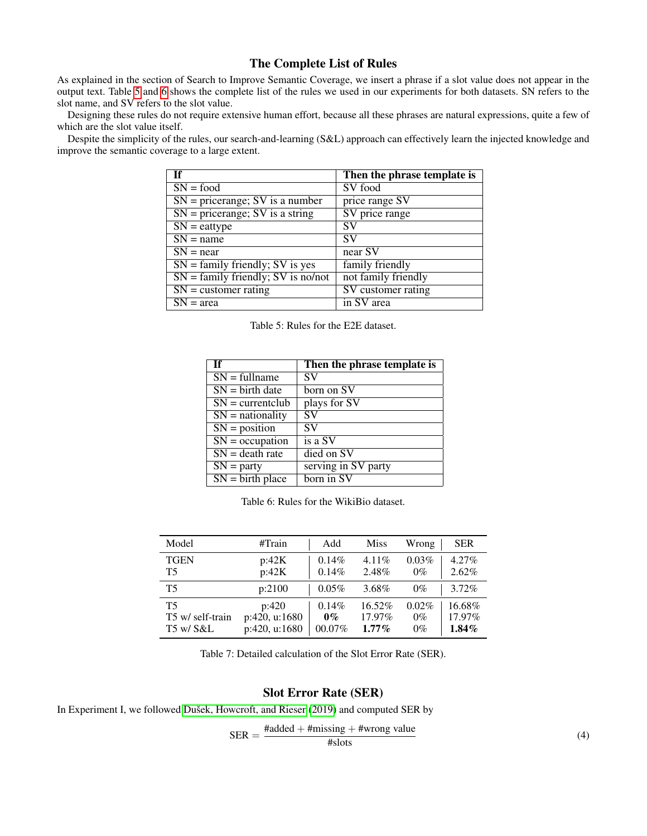# The Complete List of Rules

As explained in the section of Search to Improve Semantic Coverage, we insert a phrase if a slot value does not appear in the output text. Table [5](#page-9-0) and [6](#page-9-1) shows the complete list of the rules we used in our experiments for both datasets. SN refers to the slot name, and SV refers to the slot value.

Designing these rules do not require extensive human effort, because all these phrases are natural expressions, quite a few of which are the slot value itself.

<span id="page-9-0"></span>Despite the simplicity of the rules, our search-and-learning (S&L) approach can effectively learn the injected knowledge and improve the semantic coverage to a large extent.

|                                         | Then the phrase template is |
|-----------------------------------------|-----------------------------|
| $SN = food$                             | SV food                     |
| $SN = \text{prerange}$ ; SV is a number | price range SV              |
| $SN = \text{prerange}$ ; SV is a string | SV price range              |
| $SN =$ eattype                          | <b>SV</b>                   |
| $\overline{SN}$ = name                  | <b>SV</b>                   |
| $SN = near$                             | near SV                     |
| $SN = family friendly; SV is yes$       | family friendly             |
| $SN = family friendly; SV is no/not$    | not family friendly         |
| $SN = customer rating$                  | SV customer rating          |
| $SN = area$                             | in SV area                  |

Table 5: Rules for the E2E dataset.

<span id="page-9-1"></span>

| Τf                            | Then the phrase template is |
|-------------------------------|-----------------------------|
| $SN = fullname$               | SV                          |
| $SN = birth date$             | born on SV                  |
| $SN = currentclub$            | plays for SV                |
| $\overline{SN}$ = nationality | SV                          |
| $SN = position$               | <b>SV</b>                   |
| $SN = occupation$             | is a SV                     |
| $SN = death$ rate             | died on SV                  |
| $SN =$ party                  | serving in SV party         |
| $SN = birth place$            | born in SV                  |

Table 6: Rules for the WikiBio dataset.

<span id="page-9-2"></span>

| Model            | #Train        | Add       | <b>Miss</b> | Wrong | <b>SER</b> |
|------------------|---------------|-----------|-------------|-------|------------|
| <b>TGEN</b>      | p:42K         | 0.14%     | $4.11\%$    | 0.03% | $4.27\%$   |
| T5               | p:42K         | 0.14%     | 2.48%       | $0\%$ | $2.62\%$   |
| T5               | p:2100        | $0.05\%$  | 3.68%       | $0\%$ | 3.72%      |
| T5               | p:420         | $0.14\%$  | 16.52%      | 0.02% | 16.68%     |
| T5 w/ self-train | p:420, u:1680 | $0\%$     | 17.97%      | $0\%$ | 17.97%     |
| T5 w/ S&L        | p:420, u:1680 | $00.07\%$ | $1.77\%$    | $0\%$ | $1.84\%$   |

Table 7: Detailed calculation of the Slot Error Rate (SER).

## Slot Error Rate (SER)

In Experiment I, we followed Dušek, Howcroft, and Rieser [\(2019\)](#page-7-17) and computed SER by

$$
SER = \frac{\text{#added} + \text{#missing} + \text{#wrong value}}{\text{# slots}}
$$